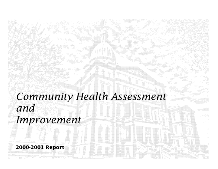# **Community Health Assessment** and Improvement

2000-2001 Report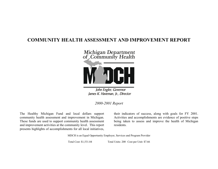# **COMMUNITY HEALTH ASSESSMENT AND IMPROVEMENT REPORT**



John Engler, Governor James K. Haveman, Jr., Director

*2000-2001 Report*

The Healthy Michigan Fund and local dollars support community health assessment and improvement in Michigan. These funds are used to support community health assessment and improvement activities at the community level. This report presents highlights of accomplishments for all local initiatives,

their indicators of success, along with goals for FY 2001. Activities and accomplishments are evidence of positive steps being taken to assess and improve the health of Michigan residents.

MDCH is an Equal Opportunity Employer, Services and Program Provider

Total Cost: \$1,531.84 Total Units: 200 Cost per Unit: \$7.66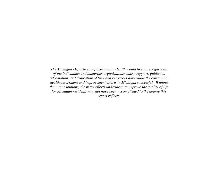*The Michigan Department of Community Health would like to recognize all of the individuals and numerous organizations whose support, guidance, information, and dedication of time and resources have made the community health assessment and improvement efforts in Michigan successful. Without their contributions, the many efforts undertaken to improve the quality of life for Michigan residents may not have been accomplished to the degree this report reflects.*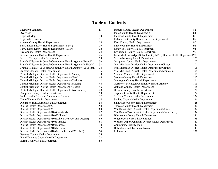# **Table of Contents**

| <b>Executive Summary</b>                                         | iii    |  |
|------------------------------------------------------------------|--------|--|
| Overview                                                         | 1      |  |
| Regional Map                                                     | $10\,$ |  |
| Regional Overview                                                |        |  |
| Allegan County Health Department                                 | 18     |  |
| Barry-Eaton District Health Department (Barry)                   | 20     |  |
| Barry-Eaton District Health Department (Eaton)                   |        |  |
| Bay County Health Department                                     | 24     |  |
| Benzie-Leelanau District Health Department                       | 26     |  |
| Berrien County Health Department                                 | 28     |  |
| Branch-Hillsdale-St. Joseph Community Health Agency (Branch)     | 30     |  |
| Branch-Hillsdale-St. Joseph Community Health Agency (Hillsdale)  | 32     |  |
| Branch-Hillsdale-St. Joseph Community Health Agency (St. Joseph) | 34     |  |
| <b>Calhoun County Health Department</b>                          | 36     |  |
| Central Michigan District Health Department (Arenac)             | 38     |  |
| Central Michigan District Health Department (Clare)              | 40     |  |
| Central Michigan District Health Department (Gladwin)            | 42     |  |
| Central Michigan District Health Department (Isabella)           | 44     |  |
| Central Michigan District Health Department (Osceola)            | 46     |  |
| Central Michigan District Health Department (Roscommon)          | 48     |  |
| Chippewa County Health Department                                | 50     |  |
| <b>Public Health Delta and Menominee Counties</b>                | 52     |  |
| City of Detroit Health Department                                |        |  |
| Dickinson-Iron District Health Department                        | 56     |  |
| District Health Department #2                                    | 58     |  |
| District Health Department #4                                    | 60     |  |
| District Health Department #10 (Crawford)                        | 62     |  |
| District Health Department #10 (Kalkaska)                        | 64     |  |
| District Health Department #10 (Lake, Newaygo, and Oceana)       | 66     |  |
| District Health Department #10 (Manistee)                        | 68     |  |
| District Health Department #10 (Mason)                           | 70     |  |
| District Health Department #10 (Mecosta)                         | 72     |  |
| District Health Department #10 (Missaukee and Wexford)           | 74     |  |
| Genesee County Health Department                                 |        |  |
| <b>Grand Traverse County Health Department</b>                   |        |  |
| Huron County Health Department                                   |        |  |

| <b>Ingham County Health Department</b>                               | 82  |
|----------------------------------------------------------------------|-----|
| Ionia County Health Department                                       | 84  |
| <b>Jackson County Health Department</b>                              | 86  |
| Kalamazoo County Human Services Department                           | 88  |
| Kent County Health Department                                        | 90  |
| <b>Lapeer County Health Department</b>                               | 92  |
| Lenawee County Health Department                                     | 94  |
| Livingston County Health Department                                  | 96  |
| Luce-Mackinac-Alger-Schoolcraft (LMAS) District Health Department 98 |     |
| Macomb County Health Department                                      | 100 |
| Marquette County Health Department                                   | 102 |
| Mid-Michigan District Health Department (Clinton)                    | 104 |
| Mid-Michigan District Health Department (Gratiot)                    | 106 |
| Mid-Michigan District Health Department (Montcalm)                   | 108 |
| Midland County Health Department                                     | 110 |
| Monroe County Health Department                                      | 112 |
| Muskegon County Health Department                                    | 114 |
| Northwest Michigan Community Health Agency                           | 116 |
| Oakland County Health Department                                     | 118 |
| <b>Ottawa County Health Department</b>                               | 120 |
| Saginaw County Health Department                                     | 122 |
| St. Clair County Health Department                                   | 124 |
| Sanilac County Health Department                                     | 126 |
| Shiawassee County Health Department                                  | 128 |
| <b>Tuscola County Health Department</b>                              | 130 |
| Van Buren-Cass District Health Department (Cass)                     | 132 |
| Van Buren-Cass District Health Department (Van Buren)                | 134 |
| Washtenaw County Health Department                                   | 136 |
| Wayne County Health Department                                       | 138 |
| Western Upper Peninsula District Health Department                   | 140 |
| Community Priority Index                                             | 142 |
| Definitions and Technical Notes                                      | 149 |
| References                                                           | 151 |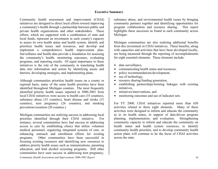#### **Executive Summary**

Community health assessment and improvement (CHAI) initiatives are designed to direct local efforts toward improving a community's health through a partnership between public and private health organizations and other stakeholders. These efforts, which are supported with a combination of state and local funds, represent an investment in each county's capacity to assess its own health status and health system, identify and prioritize health issues and resources, and develop and implement a comprehensive health improvement plan. Surveillance and health data provide a foundation for assessing the community's health, monitoring outcomes, evaluating programs, and reporting results. Of equal importance to these initiatives is the role of the community in translating health data into information and action by identifying assets and barriers, developing strategies, and implementing plans.

Although communities prioritize health issues on a county or regional basis, many of the same health priorities have been identified throughout Michigan counties. The most frequently identified priority health issues reported in 2000-2001 from local CHAI initiatives were access to health care (35 counties), substance abuse (33 counties), heart disease and stroke (31 counties), teen pregnancy (26 counties), and smoking prevention/cessation (20 counties.)

Michigan communities are realizing success in addressing local priorities identified through their CHAI initiative. For instance, several communities have had success in addressing access to care by establishing clinics that utilize volunteer medical personnel, organizing integrated systems of care, or enhancing outreach and enrollment efforts for existing programs. Other communities have been successful in focusing existing resources and identifying new resources to address priority health issues such as immunizations, parenting education, and fetal alcohol screening programs. Still other communities have seen success in addressing teen pregnancy,

substance abuse, and environmental health issues by bringing community partners together and identifying opportunities for program collaboration and resource sharing. This report highlights these successes as found in each community across Michigan.

Michigan communities are also realizing additional benefits from this investment in CHAI initiatives. These benefits, along with capacities and activities that have been developed locally, are being measured through the reporting of accomplishments for eight essential elements. These elements include:

- $\bullet$  data surveillance.
- communicating health status and resources,
- policy recommendations/development,
- $\bullet$  use of technology,
- $\bullet$  resource sharing/funding generation,
- $\bullet$  establishing partnerships/forming linkages with existing initiatives,
- initiatives/interventions, and
- monitoring outcomes and use of indicator sets.

For FY 2000, CHAI initiatives reported more than 650 activities related to these eight elements. Many of these activities were designed to inform and educate the community as to its health status, in support of data-driven program planning, implementation, and evaluation. Strengthening community capacity to inform and educate the community on health status and health system resources, to identify community health priorities, and to develop community health action plans will continue to be the focus of CHAI activities across the state.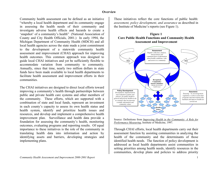#### **Overview**

Community health assessment can be defined as an initiative "whereby a local health department and its community engage in assessing the health needs of their community and investigate adverse health effects and hazards to create a 'snapshot' of a community's health" (National Association of County and City Health Officials, 2001.) In early 1994, the Michigan Department of Community Health (MDCH) and all local health agencies across the state made a joint commitment to the development of a statewide community health assessment and improvement (CHAI) approach for improving health outcomes. This common approach was designed to guide local CHAI initiatives and yet be sufficiently flexible to accommodate variation from community to community. Annually, since that time, nearly two million dollars in state funds have been made available to local health departments to facilitate health assessment and improvement efforts in their communities.

The CHAI initiatives are designed to direct local efforts toward improving a community's health through partnerships between public and private health care systems and other members of the community. These efforts, which are supported with a combination of state and local funds, represent an investment in each county's capacity to assess its own health status and health system, identify and prioritize health issues and resources, and develop and implement a comprehensive health improvement plan. Surveillance and health data provide a foundation for assessing the community's health, monitoring outcomes, evaluating programs and reporting results. Of equal importance to these initiatives is the role of the community in translating health data into information and action by identifying assets and barriers, developing strategies and implementing plans.

These initiatives reflect the core functions of public health: *assessment, policy development, and assurance* as described in the Institute of Medicine's reports (see Figure 1).







Through CHAI efforts, local health departments carry out their assessment function by assisting communities in analyzing the health of the community and the determinants of those identified health needs. The function of policy development is addressed as local health departments assist communities in setting priorities among health needs, identify resources in the communities, develop plans and policies to address priority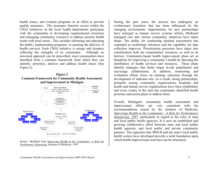health issues, and evaluate programs in an effort to provide quality assurance. The assurance function occurs within the CHAI initiatives as the local health departments participate with the community in developing organizational structures and managing community resources to address priority health needs with local assets. This includes informing and educating the public, implementing programs, or assuring the delivery of health services. Each CHAI initiative is unique and dynamic reflecting the strengths of its community. Although no universal approach can be prescribed, most communities have benefited from a common framework from which they can identify, prioritize, analyze and address health issues (See Figure 2).

#### **Figure 2 Common Framework for Community Health Assessment and Improvement in Michigan**



Source: Modified from *Improving Health in the Community: A Role for Performance Measuring*, Institute of Medicine, 1997.

During the past years, the process has undergone an evolutionary transition that has been influenced by the changing environment. Opportunities for new partnerships have emerged as human service systems reform, Medicaid managed care and various community initiatives have taken shape. The ability for conducting detailed assessments has expanded as technology advances and the capability for data collection improves. Prioritization processes have taken into consideration both the communities' resources, as well as its barriers. Community-based health improvement plans act as blueprints for improving a community's health by directing the distribution of health services and resources. These plans identify strategies that better target at-risk populations and encourage collaboration. In addition, monitoring and evaluation efforts focus on tracking outcomes through the development of indicator sets. As a result, strong partnerships, primarily among community organizations, hospitals and health and human service organizations have been established; and every county in the state has community identified health priorities and action plans to address them.

Overall, Michigan's community health assessment and improvement efforts are very consistent with the recommendations issued by the Institute of Medicine, *Improving Health in the Community - A Role for Performance Monitoring, 1997*, particularly in regard to the roles of state and local public health agencies. It is now an established and growing collaborative effort between state and local public health agencies, and local public and private community partners. The capacities that MDCH and the state's local public health system have developed provide a solid foundation upon which health improvement activities can be structured.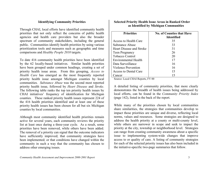#### **Identifying Community Priorities**

Through CHAI, local efforts have identified community health priorities that not only reflect the concerns of public health agencies and health care providers but also the broader spectrum of community stakeholders, including the general public. Communities identify health priorities by using various prioritization tools and measures such as geographic and time comparisons and *Healthy People 2010* targets.

To date 416 community health priorities have been identified by the 62 locally-based initiatives. Similar health priorities have been grouped under common headings, creating a set of priority health issue areas. From this grouping, *Access to Health Care* has emerged as the most frequently reported priority health issue amongst Michigan counties by local communities. *Substance Abuse* was the second most reported priority health issue, followed by *Heart Disease* and *Stroke*. The following table ranks the top ten priority health issues by CHAI initiatives' frequency of identification for Michigan counties. These ranked priority health issues represent 224 of the 416 health priorities identified and at least one of these priority health issues has been chosen for all but six Michigan counties by local communities.

Although most community identified health priorities remain active for several years, each community reviews the priority list at least once during a three-year cycle. As a result, some priorities have been removed, while others have been added. The removal of a priority can signal that the outcome indicators have sufficiently improved; that community strategies have been implemented; or that conditions have changed within the community in such a way that the community has chosen to address other emerging issues.

## **Selected Priority Health Issue Areas in Ranked Order as Identified by Michigan Communities**

| <b>Priorities</b>               | <b>No. of Counties that Have</b> |
|---------------------------------|----------------------------------|
|                                 | <b>Identified</b>                |
| Access to Health Care           | 35                               |
| Substance Abuse                 | 33                               |
| <b>Heart Disease and Stroke</b> | 31                               |
| Teen Pregnancy                  | 26                               |
| <b>Tobacco Control</b>          | 20                               |
| Environmental Health            | 17                               |
| Data Surveillance               | 16                               |
| Violence Prevention             | 16                               |
| Access to Dental Care           | 15                               |
| `ancer                          | 15                               |

Source: Local CHAI Reports, FY 00

A detailed listing of community priorities, that more clearly demonstrates the breadth of health issues being addressed by local efforts, can be found in the *Community Priority Index* (page 142), listed in the back of the report.

While many of the priorities chosen by local communities share similarities, the strategies that communities develop to impact those priorities are unique and diverse, reflecting local norms, values and resources. Some strategies are designed to address the health priority at a county or multi-county level, while others are narrower in scope and seek to impact the priority at the city, township or neighborhood level. Strategies can range from creating community awareness about a specific issue to implementing system-wide changes that improve access to or quality of care. A listing of community strategies for each of the selected priority issues has also been included in the initiative-specific two-page summaries that follow.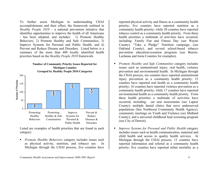To further assist Michigan in understanding CHAI accomplishments and their effect, the framework outlined in *Healthy People 2010* – a national prevention initiative that identifies opportunities to improve the health of all Americans - has been adopted, and includes: 1) Promote Healthy Behaviors, 2) Promote Healthy and Safe Communities, 3) Improve Systems for Personal and Public Health, and 4) Prevent and Reduce Disease and Disorders. Listed below is a summary of the more than 400 locally identified health priorities based on the *Healthy People 2010* framework.

#### **Number of Community Priority Issues Reported for Michigan Counties Grouped by Healthy People 2010 Categories**



Listed are examples of health priorities that are found in each category:

 *Promote Healthy Behaviors* category includes issues such as physical activity, nutrition, and tobacco use. In Michigan through the CHAI process, five counties have

reported physical activity and fitness as a community health priority; five counties have reported nutrition as a community health priority; while 20 counties have reported tobacco control as a community health priority. From these health priorities a multitude of activities have occurred, including: Family Fun and Fitness Day (see Wayne County), "Take a Pledge" Nutrition campaign, (see Oakland County), and several school-based tobacco prevention education/cessation programs (see Benzie-Leelanau and Ionia Counties for examples).

- *Promote Healthy and Safe Communities* category includes issues such as unintentional injury, oral health, violence prevention and environmental health. In Michigan through the CHAI process, ten counties have reported unintentional injury prevention as a community health priority; 15 counties have reported oral health as a community health priority; 16 counties have reported violence prevention as a community health priority; while 17 counties have reported environmental health as a community health priority. From these health priorities a multitude of activities have occurred, including: car seat assessments (see Lapeer County); multiple dental clinics that serve underserved populations (See Northwest Community Health Agency); community meetings on Youth and Violence (see Midland County); and a universal childhood lead screening program (see City of Detroit).
- *Improve Systems for Personal and Public Health* category includes issues such as health communication, maternal and child health and access to quality health services. In Michigan through the CHAI process, 13 counties have reported information and referral as a community health priority; five counties have reported infant mortality as a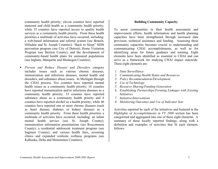community health priority; eleven counties have reported maternal and child health as a community health priority; while 35 counties have reported access to quality health services as a community health priority. From these health priorities a multitude of activities have occurred, including: a web-based information and referral system (see Branch, Hillsdale and St. Joseph Counties); "Back to Sleep" SIDS prevention program (see City of Detroit); Home Visitation Program (see Berrien County); and the development of community-based health plans for uninsured populations (see Ingham, Marquette and Muskegon Counties).

 *Prevent and Reduce Disease and Disorders* category includes issues such as various chronic diseases, immunization and infectious diseases, mental health and disorders, and substance abuse issues. In Michigan through the CHAI process, five counties have reported mental health issues as a community health priority; 16 counties have reported immunization and/or infectious diseases as a community health priority; 33 counties have reported substance abuse as a community health priority and 8 counties have reported alcohol as a health priority; while 40 counties have reported one or more chronic diseases (such as heart disease, diabetes or kidney disease) as a community health priority. From these health priorities a multitude of activities have occurred, including: an infant mental health service (see St. Joseph County); immunization information presentations (see Roscommon County); a residential adolescent treatment program (see Saginaw County); and various health fairs, screening clinics and expanded worksite wellness programs (see Kalkaska, Delta and Menominee Counties);

#### **Building Community Capacity**

To assist communities in their health assessment and improvement efforts, health information and health planning capacities have been strengthened through increased data provision, technical assistance and funding. Assessing these community capacities becomes crucial to understanding and communicating CHAI accomplishments, as well as for identifying areas for future guidance and training. Eight elements have been identified as essential to CHAI and can serve as a framework for studying CHAI impact statewide. These eight elements are:

- *1. Data Surveillance*
- *2. Communicating Health Status and Resources*
- *3. Policy Recommendation/Development*
- *4. Use of Technology*
- *5. Resource Sharing/Funding Generation*
- *6. Establishing Partnerships/Forming Linkages with Existing Initiatives*
- *7. Initiative/Interventions*
- *8. Monitoring Outcomes and Use of Indicator Sets*

Activities reported by each of the initiatives and featured in the *Highlights of Accomplishments in FY 2000* section has been categorized and aggregated into one of these eight elements. A summary of these locally reported findings, along with a definition and examples of activities that fit each element, follows: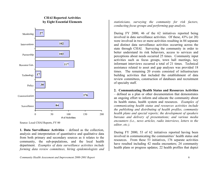## **CHAI Reported Activities by Eight Essential Elements**



Source: Local CHAI Reports, FY 00

**1. Data Surveillance Activities** – defined as the collection, analysis and interpretation of quantitative and qualitative data from both primary and secondary sources as it relates to the community, the sub-populations, and the local health department. *Examples of data surveillance activities include forming data review committees, hiring epidemiologists and*  *statisticians, surveying the community for risk factors, conducting focus groups and performing gap analysis.* 

During FY 2000, 46 of the 62 initiatives reported being involved in data surveillance activities. Of these, 43% (or 20) were involved in two or more activities resulting in 84 separate and distinct data surveillance activities occurring across the state through CHAI. Surveying the community in order to better understand its risk behaviors, access to services and perceptions about needs occurred 25 times. Community input activities such as focus groups, town hall meetings, key informant interviews occurred a total of 21 times. Technical assistance related to asset and gap analyses was provided 18 times. The remaining 20 events consisted of infrastructure building activities that included the establishment of data review committees, construction of databases and recruitment of specialty staff.

**2. Communicating Health Status and Resources Activities**  – defined as a plan or other documentation that demonstrates an ongoing effort to inform and educate the community about its health status, health system and resources. *Examples of communicating health status and resources activities include the publishing and distributing of health profiles, community health plans and special reports; the development of speakers bureaus and delivery of presentations; and various media encounters (i.e., news articles, radio interviews, letters to the editor, etc.).* 

During FY 2000, 53 of 62 initiatives reported having been involved in communicating the communities' health status and resources. From these 53 initiatives, 176 separate activities have resulted including 42 media encounters; 24 community health plans or progress updates; 22 health profiles that depict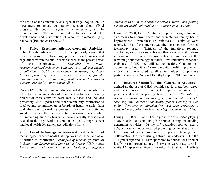the health of the community or a special target population; 22 newsletters to update community members about CHAI progress; 19 special analyses or white papers; and 16 presentations. The remaining 31 activities include the development and distribution of resource directories (18), handouts (10), and chart books (3*).*

**3. Policy Recommendation/Development Activities**– defined as the advocacy for, or the adoption of, actions that relate to resource allocations, program developments and regulations within the public sector as well as the private sector of the community. *Examples of policy recommendation/development activities vary and can include establishing a legislative committee, sponsoring legislative forums, proposing local ordinances, advocating for the adoption of policies within an organization or participating in a continuous quality improvement effort.*

During FY 2000, 19 of 62 initiatives reported being involved in 31 policy recommendation/development activities. Seventy percent of these activities were locally based and included presenting CHAI updates and other community information to local county commissioners or boards of health to assist them with their decision-making process. Four of the activities sought to engage the state legislature on various issues, while the remaining six activities were more internally focused and related to the organization's continuous quality improvement and local health department accreditation efforts.

**4.** Use of Technology Activities – defined as the use of technological enhancements that improves the understanding or utilization of information. *Examples of technology activities include using Geographical Information Systems (GIS) to map health and socio-economic data, developing integrated* 

*databases to promote a seamless delivery system, and posting community health information or resources on a web site.*

During FY 2000, 15 of 62 initiatives reported using technology as a means to improve access and promote community health improvement. From these 15 initiatives, 17 activities were reported. Use of the Internet was the most reported form of technology used. Thirteen of the initiatives reported developing web pages or web sites that featured health status information or promoted the use of health resources. Of the remaining four technology activities: two initiatives expanded their use of GIS; one utilized the Healthy Communities' "Community Toolkit" software to monitor health improvement efforts; and one used satellite technology to promote participation in the National Healthy People's 2010 conference.

**5. Resource Sharing/Funding Generation Activities** – defined as the use of CHAI activities to leverage both direct and in-kind resources in order to improve the assessment process and address priority health issues. *Examples of resource sharing and funding generation activities include receiving state, federal or community grants, securing cash or in-kind donations, or administering local grant programs to assist other organizations in completing assessment activities.*

During FY 2000, 32 of 45 health jurisdictions reported playing a key role in their community's resource sharing and funding generation activities. Of the 117 activities reported, nearly 90% of these activities involved providing technical support in the form of data assistance, program planning and collaboration for successful grant-writing endeavors. Of the 104 grants reported, 51 were sponsored by foundations or other locally based organizations. Forty-one were state awards, while 12 represented federal awards. In total, CHAI efforts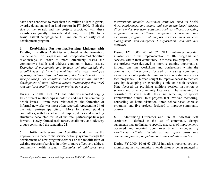have been connected to more than \$15 million dollars in grants, awards, donations and in-kind support in FY 2000. Both the size of the awards and the projects associated with these awards vary greatly. Awards cited range from \$300 for a sexual assault campaign to \$1.9 million for an early child development program.

**6. Establishing Partnerships/Forming Linkages with Existing Initiatives Activities** *–* defined as the formation, maintenance, or expansion of cooperative/collaborative relationships in order to more effectively assess the community's health and address community health issues. *Examples of partnership and linkage activities include the establishment of formal committees with well developed reporting relationships and by-laws; the formation of cause specific task forces, coalitions and advisory groups; and the development of more informal liaison relationships that work together for a specific purpose or project as needed.* 

During FY 2000, 38 of 62 CHAI initiatives reported forging 103 different relationships in order to address their community health issues. From these relationships, the formation of informal networks was most often reported, representing 54 of the total partnerships cited. More formalized standing committees, with their identified purpose, duties and reporting structures, accounted for 28 of the total partnerships/linkages formed. Newly formed task forces, coalitions, and advisory groups constituted the remaining 21.

**7. Initiative/Interventions Activities** *–* defined as the improvements made to the service delivery system through the development of new programs/services or the modification of existing programs/services in order to more effectively address community health issues. *Examples of initiatives and* 

*interventions include: awareness activities, such as health fairs, conferences, and school and community-based classes; direct service provision activities, such as clinics, screening programs, home visitation programs, counseling and mentoring programs; and support services, such as case management, non-emergency transportation, and outreach activities.*

During FY 2000, 45 of 62 CHAI initiatives reported involvement in the implementation of 102 programs and services within their community. Of these 102 projects, 30 of the projects were designed to improve training opportunities through one-time workshops and conferences within the community. Twenty-two focused on creating community awareness about a particular issue such as domestic violence or teen pregnancy. Thirteen sought to improve access to medical care by developing or expanding clinic or health services. Nine focused on providing multiple session instruction at schools and other community locations. The remaining 28 consisted of seven health fairs, six screening or special immunization clinics, four projects that involved mentoring, counseling or home visitation, three school-based exercise programs, and five projects designed to improve community outreach.

**8. Monitoring Outcomes and Use of Indicator Sets Activities** – defined as the use of community change statements that are linked to specific measures of improvement; observed and reported upon over time. *Examples of monitoring activities include issuing report cards and conducting process, output and outcome evaluation studies.*

During FY 2000, 10 of 62 CHAI initiatives reported actively monitoring their community's health status or being engaged in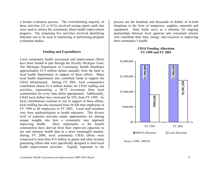a formal evaluation process. The overwhelming majority of these activities (22 or 81%) involved issuing report cards that were used to inform the community about health improvement progress. The remaining five activities involved identifying indicator sets to be used in monitoring or performing program evaluation studies.

#### **Funding and Expenditures**

Local community health assessment and improvement efforts have been funded in part through the *Healthy Michigan Fund*. The Michigan Department of Community Health distributes approximately \$1.9 million dollars annually from the fund to local health departments in support of these efforts. Many local health departments also contribute funds to support the CHAI infrastructure. During FY 2001, local communities contributed almost \$1.4 million dollars for CHAI staffing and activities, representing a \$0.72 investment from local communities for every state dollar appropriated. Additionally, CHAI local dollars have increased by 52% from FY 1999. As local contributions continue to rise in support of these efforts, local staffing has also increased from 36 full time employees in FY 1999 to 40 employees in FY 2001. Local staff members vary from epidemiologists to health educators. This diverse level of expertise provides ample opportunities for sharing unique insights into how a community may approach improving health. More importantly is the benefit communities have derived from their improved capacities to use and interpret health data in a more meaningful manner. During FY 2000, local community CHAI efforts were connected to more than \$15 million in grants and other revenue generating efforts that were specifically designed to fund local health improvement activities. Equally important to the

process are the hundreds and thousands of dollars of in-kind donations in the form of manpower, supplies, materials and equipment. State funds serve as a stimulus for ongoing partnerships between local agencies and concerned citizens who contribute their time, energy, and resources to improving their community's health.





Source: CPBC, MDCH.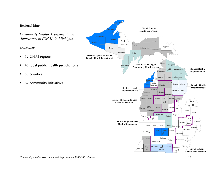## **Regional Map**

*Community Health Assessment and Improvement (CHAI) in Michigan*

## *Overview*

- 12 CHAI regions
- 45 local public health jurisdictions
- 83 counties
- 62 community initiatives

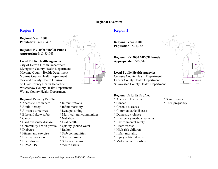#### **Regional Overview**

# **Region 1**

**Regional Year 2000** 



Livingston County Health Department Macomb County Health Department Monroe County Health Department Oakland County Health Division St. Clair County Health Department Washtenaw County Health Department Wayne County Health Department

## **Regional Priority Profile:**

- \* Access to health care \* Immunizations
- 
- \* Advance directives \* Lead poisoning
- 
- 
- \* Cardiovascular disease \* Oral health
- \* Community health profile \* Quality ground water
- \* Diabetes \* Radon
- \* Fitness and exercise \* Safe communities
- \* Healthy workforce \* Seat belt usage
- 
- 
- 
- \* Adult literacy \* Infant mortality
	-
- \* Bike and skate safety \* Multi-cultural communities
- \* Cancer \* Nutrition
	-
	-
	-
	-
	-
- \* Heart disease \* Substance abuse
- \* HIV/AIDS \* Youth assets

# **Region 2**

**Regional Year 2000 Population:** 595,732

**Regional FY 2000 MDCH Funds Appropriated:** \$99,516

# **Local Public Health Agencies:**

Genesee County Health Department Lapeer County Health Department Shiawassee County Health Department

# **Regional Priority Profile:**

- \* Access to health care \* Senior issues
- 
- \* Chronic diseases
- \* Communicable diseases
- \* Domestic violence
- \* Emergency medical services
- \* Environmental safety
- \* Heart disease
- \* High-risk children
- \* Infant mortality
- \* Injury related deaths
- \* Motor vehicle crashes



- 
- \* Cancer \* Teen pregnancy

*Community Health Assessment and Improvement 2000-2001 Report* 11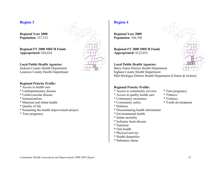**Regional Year 2000 Population:** 257,312

**Regional FY 2000 MDCH Funds Appropriated:** \$56,624

#### **Local Public Health Agencies:**

Jackson County Health Department Lenawee County Health Department

## **Regional Priority Profile:**

- \* Access to health care
- \* Cardiopulmonary disease
- \* Cardiovascular disease
- \* Immunizations
- \* Maternal and infant health
- \* Quality of life
- \* Sustaining the health improvement project
- \* Teen pregnancy



# **Region 4**

**Regional Year 2000 Population:** 546,768

**Regional FY 2000 MDCH Funds Appropriated:** \$122,035

#### **Local Public Health Agencies:**

Barry-Eaton District Health Department Ingham County Health Department Mid-Michigan District Health Department (Clinton & Gratiot)

- \* Access to community services \* Teen pregnancy
- \* Access to quality health care \* Tobacco
- \* Community awareness \* Violence
- \* Community safety \* Youth development
- \* Diabetes
- \* Disseminating health information
- \* Environmental health
- \* Infant mortality
- \* Ischemic heart disease
- \* Nutrition
- \* Oral health
- \* Physical activity
- \* Health disparities
- \* Substance abuse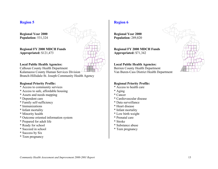**Regional Year 2000 Population:** 531,324

**Regional FY 2000 MDCH Funds Appropriated:** \$121,473



Calhoun County Health Department

Kalamazoo County Human Services Division Branch-Hillsdale-St. Joseph Community Health Agency

#### **Regional Priority Profile:**

- \* Access to community services
- \* Access to safe, affordable housing
- \* Assets and needs mapping
- \* Dependent care
- \* Family self-sufficiency
- \* Immunizations
- \* Infant mortality
- \* Minority health
- \* Outcome oriented information system
- \* Prepared for adult life
- \* Ready for school
- \* Succeed in school
- \* Success by Six
- \* Teen pregnancy



# **Region 6**

**Regional Year 2000 Population:** 289,820

**Regional FY 2000 MDCH Funds Appropriated:** \$71,342

#### **Local Public Health Agencies:**

Berrien County Health Department Van Buren-Cass District Health Department

- \* Access to health care
- \* Aging
- \* Cancer
- \* Cardiovascular disease
- \* Data surveillance
- \* Heart disease
- \* Infant mortality
- \* Low birth weight
- \* Prenatal care
- \* Stroke
- \* Substance abuse
- \* Teen pregnancy

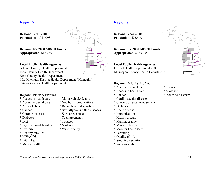**Regional Year 2000 Population:** 1,041,098

**Regional FY 2000 MDCH Funds Appropriated:** \$163,651

#### **Local Public Health Agencies:**

Allegan County Health Department Ionia County Health Department Kent County Health Department Mid-Michigan District Health Department (Montcalm) Ottawa County Health Department

#### **Regional Priority Profile:**

- \* Access to health care \* Motor vehicle deaths
- \* Access to dental care \* Newborn complications
- \* Alcohol abuse \* Racial health disparities
- \* Cancer \* Sexually transmitted diseases
- \* Chronic diseases \* Substance abuse
- \* Diabetes \* Teen pregnancy
- \* Diet \* Tobacco
- \* Dysfunctional families \* Violence
- \* Exercise \* Water quality
- \* Healthy families
- \* HIV/AIDS
- \* Infant health
- \* Mental health



# **Region 8**

**Regional Year 2000 Population:** 425,440

**Regional FY 2000 MDCH Funds Appropriated:** \$165,235

# **Local Public Health Agencies:**

District Health Department #10 Muskegon County Health Department

- \* Access to dental care \* Tobacco
- \* Access to health care \* Violence
- \* Cancer \* Youth self-esteem
- \* Cardiovascular disease
- \* Chronic disease management
- \* Diabetes
- \* Heart disease
- \* Immunizations
- \* Kidney disease
- \* Mammography
- \* Minority health
- \* Monitor health status
- \* Parenting
- \* Quality of life
- \* Smoking cessation
- \* Substance abuse

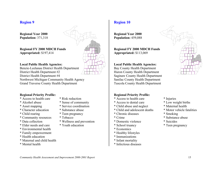**Regional Year 2000 Population:** 371,318

**Regional FY 2000 MDCH Funds Appropriated:** \$197,414

#### **Local Public Health Agencies:**

Benzie-Leelanau District Health Department District Health Department #2 District Health Department #4 Northwest Michigan Community Health Agency Grand Traverse County Health Department

#### **Regional Priority Profile:**

- \* Access to health care \* Risk reduction
- 
- 
- \* Character education \* Substance abuse
- 
- \* Community resources \* Tobacco
- 
- \* Elder needs and care \* Youth education
- \* Environmental health
- \* Family empowerment
- \* Health education
- \* Maternal and child health
- \* Mental health
- -
- \* Alcohol abuse \* Sense of community
- \* Asset mapping \* Service coordination
	-
- \* Child rearing \* Teen pregnancy
	-
- \* Data collection \* Wellness and prevention
	-

**Region 10**

**Regional Year 2000 Population:** 459,088

**Regional FY 2000 MDCH Funds Appropriated:** \$113,069

#### **Local Public Health Agencies:**

Bay County Health Department Huron County Health Department Saginaw County Health Department Sanilac County Health Department Tuscola County Health Department

- \* Access to health care \* Injuries
- \* Access to dental care \* Low weight births
- \* Child abuse and neglect \* Maternal health
- \* Child and adolescent deaths \* Motor vehicle fatalities
- \* Chronic diseases \* Smoking
- 
- \* Domestic violence \* Suicides
- \* School truancy \* Teen pregnancy
- \* Economics
- \* Healthy lifestyles
- \* Immunizations
- \* Infant mortality
- \* Infectious diseases



- 
- 
- 
- 
- 
- \* Crime \* Substance abuse
	-
	-